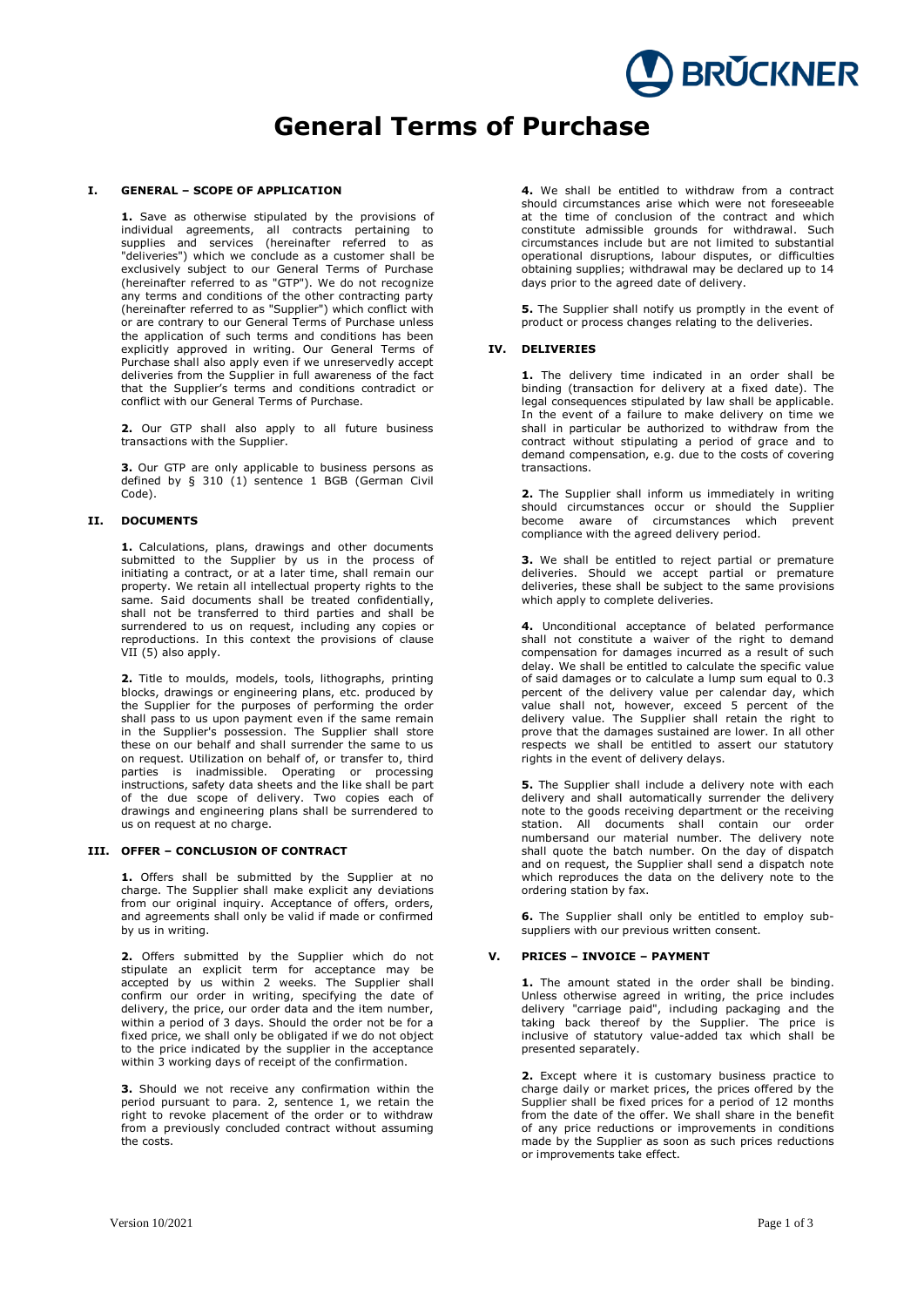# **General Terms of Purchase**

### **I. GENERAL – SCOPE OF APPLICATION**

**1.** Save as otherwise stipulated by the provisions of individual agreements, all contracts pertaining to supplies and services (hereinafter referred to as "deliveries") which we conclude as a customer shall be exclusively subject to our General Terms of Purchase (hereinafter referred to as "GTP"). We do not recognize any terms and conditions of the other contracting party (hereinafter referred to as "Supplier") which conflict with or are contrary to our General Terms of Purchase unless the application of such terms and conditions has been explicitly approved in writing. Our General Terms of Purchase shall also apply even if we unreservedly accept deliveries from the Supplier in full awareness of the fact that the Supplier's terms and conditions contradict or conflict with our General Terms of Purchase.

**2.** Our GTP shall also apply to all future business transactions with the Supplier.

**3.** Our GTP are only applicable to business persons as defined by § 310 (1) sentence 1 BGB (German Civil Code).

#### **II. DOCUMENTS**

**1.** Calculations, plans, drawings and other documents submitted to the Supplier by us in the process of initiating a contract, or at a later time, shall remain our property. We retain all intellectual property rights to the same. Said documents shall be treated confidentially, shall not be transferred to third parties and shall be surrendered to us on request, including any copies or reproductions. In this context the provisions of clause VII (5) also apply.

**2.** Title to moulds, models, tools, lithographs, printing blocks, drawings or engineering plans, etc. produced by the Supplier for the purposes of performing the order shall pass to us upon payment even if the same remain in the Supplier's possession. The Supplier shall store these on our behalf and shall surrender the same to us on request. Utilization on behalf of, or transfer to, third parties is inadmissible. Operating or processing instructions, safety data sheets and the like shall be part of the due scope of delivery. Two copies each of drawings and engineering plans shall be surrendered to us on request at no charge.

#### **III. OFFER – CONCLUSION OF CONTRACT**

**1.** Offers shall be submitted by the Supplier at no charge. The Supplier shall make explicit any deviations from our original inquiry. Acceptance of offers, orders, and agreements shall only be valid if made or confirmed by us in writing.

**2.** Offers submitted by the Supplier which do not stipulate an explicit term for acceptance may be accepted by us within 2 weeks. The Supplier shall confirm our order in writing, specifying the date of delivery, the price, our order data and the item number, within a period of 3 days. Should the order not be for a fixed price, we shall only be obligated if we do not object to the price indicated by the supplier in the acceptance within 3 working days of receipt of the confirmation.

**3.** Should we not receive any confirmation within the period pursuant to para. 2, sentence 1, we retain the right to revoke placement of the order or to withdraw from a previously concluded contract without assuming the costs.

**4.** We shall be entitled to withdraw from a contract should circumstances arise which were not foreseeable at the time of conclusion of the contract and which constitute admissible grounds for withdrawal. Such circumstances include but are not limited to substantial operational disruptions, labour disputes, or difficulties obtaining supplies; withdrawal may be declared up to 14 days prior to the agreed date of delivery.

**BRUCKNER** 

**5.** The Supplier shall notify us promptly in the event of product or process changes relating to the deliveries.

#### **IV. DELIVERIES**

**1.** The delivery time indicated in an order shall be binding (transaction for delivery at a fixed date). The legal consequences stipulated by law shall be applicable. In the event of a failure to make delivery on time we shall in particular be authorized to withdraw from the contract without stipulating a period of grace and to demand compensation, e.g. due to the costs of covering transactions.

**2.** The Supplier shall inform us immediately in writing should circumstances occur or should the Supplier become aware of circumstances which prevent compliance with the agreed delivery period.

**3.** We shall be entitled to reject partial or premature deliveries. Should we accept partial or premature deliveries, these shall be subject to the same provisions which apply to complete deliveries.

**4.** Unconditional acceptance of belated performance shall not constitute a waiver of the right to demand compensation for damages incurred as a result of such delay. We shall be entitled to calculate the specific value of said damages or to calculate a lump sum equal to 0.3 percent of the delivery value per calendar day, which value shall not, however, exceed 5 percent of the delivery value. The Supplier shall retain the right to prove that the damages sustained are lower. In all other respects we shall be entitled to assert our statutory rights in the event of delivery delays.

**5.** The Supplier shall include a delivery note with each delivery and shall automatically surrender the delivery note to the goods receiving department or the receiving station. All documents shall contain our order numbersand our material number. The delivery note shall quote the batch number. On the day of dispatch and on request, the Supplier shall send a dispatch note which reproduces the data on the delivery note to the ordering station by fax.

**6.** The Supplier shall only be entitled to employ subsuppliers with our previous written consent.

# **V. PRICES – INVOICE – PAYMENT**

1. The amount stated in the order shall be binding. Unless otherwise agreed in writing, the price includes delivery "carriage paid", including packaging and the taking back thereof by the Supplier. The price is inclusive of statutory value-added tax which shall be presented separately.

**2.** Except where it is customary business practice to charge daily or market prices, the prices offered by the Supplier shall be fixed prices for a period of 12 months from the date of the offer. We shall share in the benefit of any price reductions or improvements in conditions made by the Supplier as soon as such prices reductions or improvements take effect.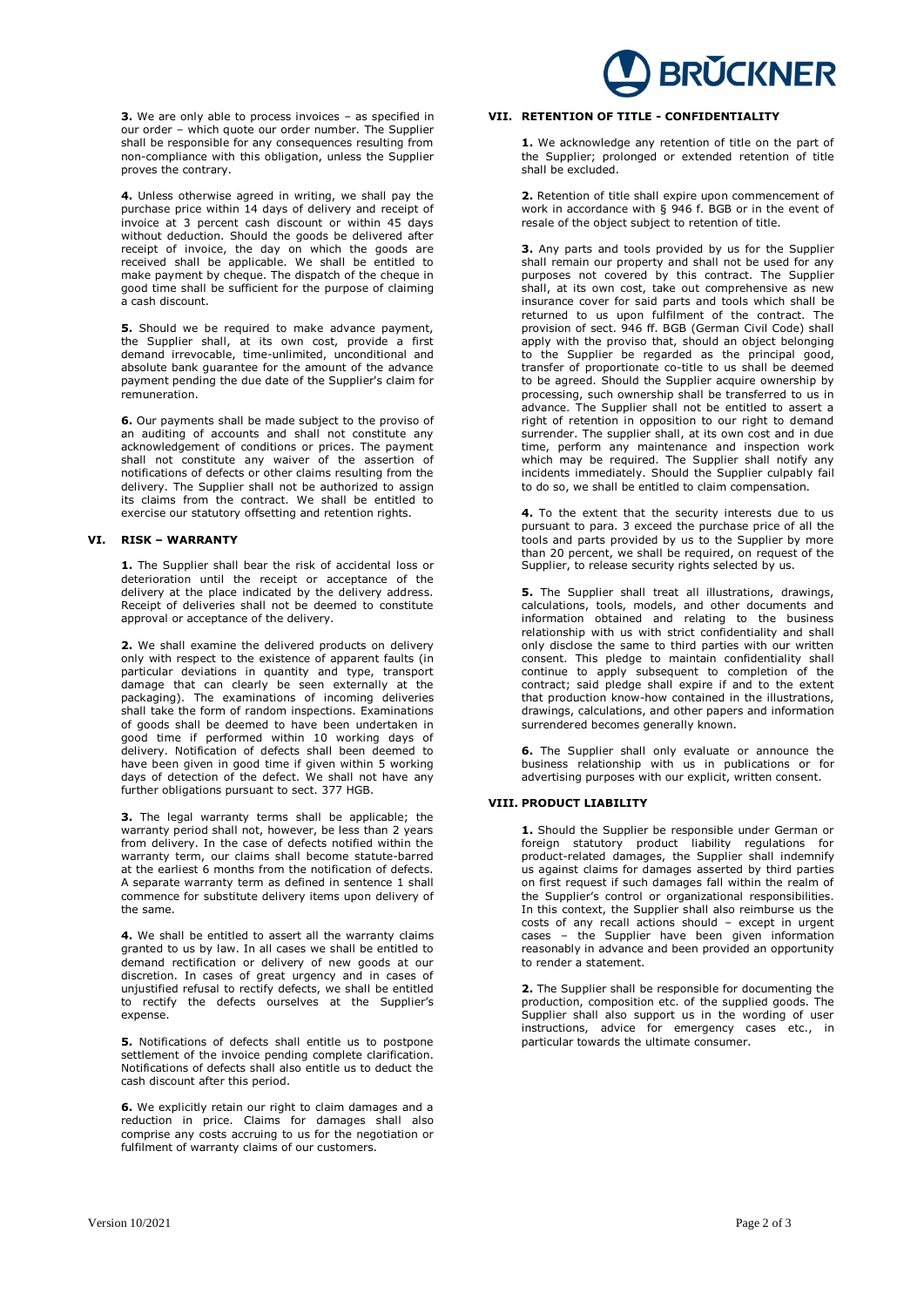**3.** We are only able to process invoices – as specified in our order – which quote our order number. The Supplier shall be responsible for any consequences resulting from non-compliance with this obligation, unless the Supplier proves the contrary.

**4.** Unless otherwise agreed in writing, we shall pay the purchase price within 14 days of delivery and receipt of invoice at 3 percent cash discount or within 45 days without deduction. Should the goods be delivered after receipt of invoice, the day on which the goods are received shall be applicable. We shall be entitled to make payment by cheque. The dispatch of the cheque in good time shall be sufficient for the purpose of claiming a cash discount.

**5.** Should we be required to make advance payment, the Supplier shall, at its own cost, provide a first demand irrevocable, time-unlimited, unconditional and absolute bank guarantee for the amount of the advance payment pending the due date of the Supplier's claim for remuneration.

**6.** Our payments shall be made subject to the proviso of an auditing of accounts and shall not constitute any acknowledgement of conditions or prices. The payment shall not constitute any waiver of the assertion of notifications of defects or other claims resulting from the delivery. The Supplier shall not be authorized to assign its claims from the contract. We shall be entitled to exercise our statutory offsetting and retention rights.

### **VI. RISK – WARRANTY**

**1.** The Supplier shall bear the risk of accidental loss or deterioration until the receipt or acceptance of the delivery at the place indicated by the delivery address. Receipt of deliveries shall not be deemed to constitute approval or acceptance of the delivery.

**2.** We shall examine the delivered products on delivery only with respect to the existence of apparent faults (in particular deviations in quantity and type, transport damage that can clearly be seen externally at the packaging). The examinations of incoming deliveries shall take the form of random inspections. Examinations of goods shall be deemed to have been undertaken in good time if performed within 10 working days of delivery. Notification of defects shall been deemed to have been given in good time if given within 5 working days of detection of the defect. We shall not have any further obligations pursuant to sect. 377 HGB.

**3.** The legal warranty terms shall be applicable; the warranty period shall not, however, be less than 2 years from delivery. In the case of defects notified within the warranty term, our claims shall become statute-barred at the earliest 6 months from the notification of defects. A separate warranty term as defined in sentence 1 shall commence for substitute delivery items upon delivery of the same.

**4.** We shall be entitled to assert all the warranty claims granted to us by law. In all cases we shall be entitled to demand rectification or delivery of new goods at our discretion. In cases of great urgency and in cases of unjustified refusal to rectify defects, we shall be entitled to rectify the defects ourselves at the Supplier's expense.

**5.** Notifications of defects shall entitle us to postpone settlement of the invoice pending complete clarification. Notifications of defects shall also entitle us to deduct the cash discount after this period.

**6.** We explicitly retain our right to claim damages and a reduction in price. Claims for damages shall also comprise any costs accruing to us for the negotiation or fulfilment of warranty claims of our customers.

# **BRUCKNER**

# **VII. RETENTION OF TITLE - CONFIDENTIALITY**

**1.** We acknowledge any retention of title on the part of the Supplier; prolonged or extended retention of title shall be excluded.

**2.** Retention of title shall expire upon commencement of work in accordance with § 946 f. BGB or in the event of resale of the object subject to retention of title.

**3.** Any parts and tools provided by us for the Supplier shall remain our property and shall not be used for any purposes not covered by this contract. The Supplier shall, at its own cost, take out comprehensive as new insurance cover for said parts and tools which shall be returned to us upon fulfilment of the contract. The provision of sect. 946 ff. BGB (German Civil Code) shall apply with the proviso that, should an object belonging to the Supplier be regarded as the principal good, transfer of proportionate co-title to us shall be deemed to be agreed. Should the Supplier acquire ownership by processing, such ownership shall be transferred to us in advance. The Supplier shall not be entitled to assert a right of retention in opposition to our right to demand surrender. The supplier shall, at its own cost and in due time, perform any maintenance and inspection work which may be required. The Supplier shall notify any incidents immediately. Should the Supplier culpably fail to do so, we shall be entitled to claim compensation.

**4.** To the extent that the security interests due to us pursuant to para. 3 exceed the purchase price of all the tools and parts provided by us to the Supplier by more than 20 percent, we shall be required, on request of the Supplier, to release security rights selected by us.

**5.** The Supplier shall treat all illustrations, drawings, calculations, tools, models, and other documents and information obtained and relating to the business relationship with us with strict confidentiality and shall only disclose the same to third parties with our written consent. This pledge to maintain confidentiality shall continue to apply subsequent to completion of the contract; said pledge shall expire if and to the extent that production know-how contained in the illustrations, drawings, calculations, and other papers and information surrendered becomes generally known.

**6.** The Supplier shall only evaluate or announce the business relationship with us in publications or for advertising purposes with our explicit, written consent.

## **VIII. PRODUCT LIABILITY**

**1.** Should the Supplier be responsible under German or foreign statutory product liability regulations for product-related damages, the Supplier shall indemnify us against claims for damages asserted by third parties on first request if such damages fall within the realm of the Supplier's control or organizational responsibilities. In this context, the Supplier shall also reimburse us the costs of any recall actions should – except in urgent cases – the Supplier have been given information reasonably in advance and been provided an opportunity to render a statement.

**2.** The Supplier shall be responsible for documenting the production, composition etc. of the supplied goods. The Supplier shall also support us in the wording of user instructions, advice for emergency cases etc., in particular towards the ultimate consumer.